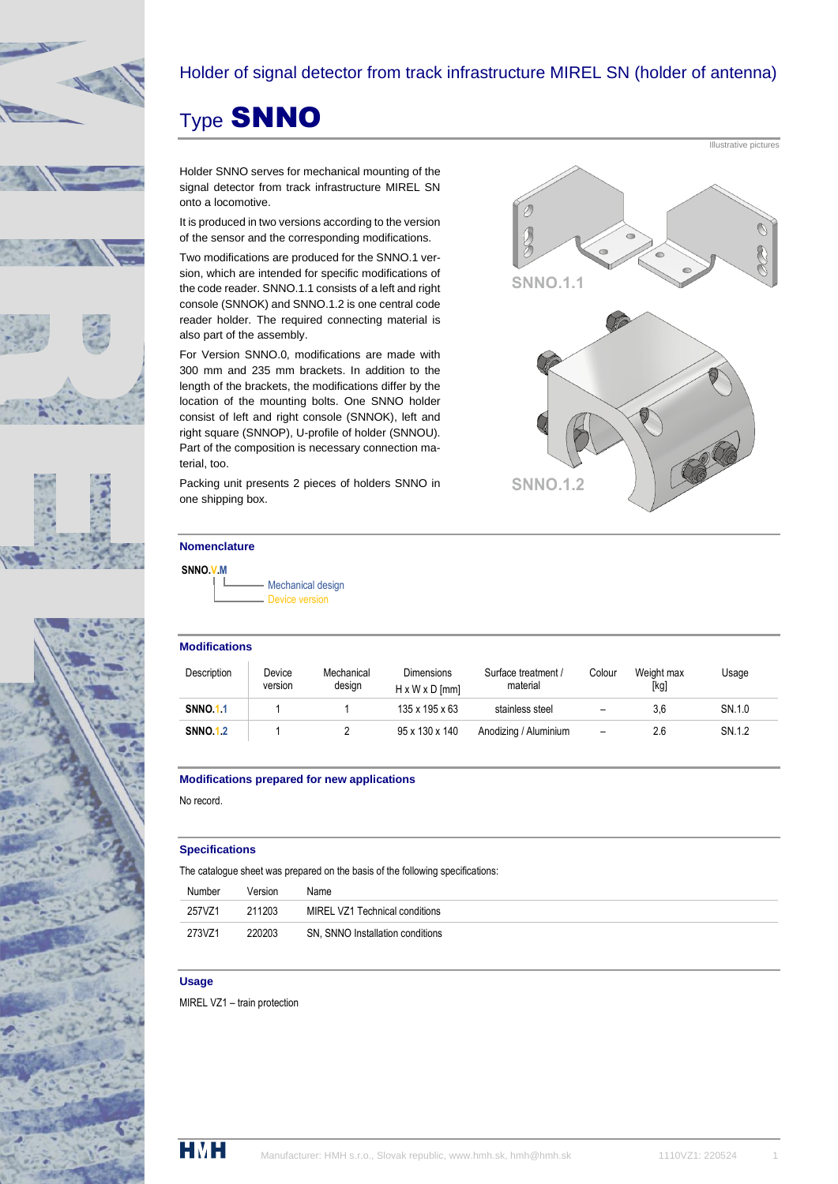





## Holder of signal detector from track infrastructure MIREL SN (holder of antenna)

**SNNO.1.1** 

**SNNO.1.2** 

# Type SNNO

Holder SNNO serves for mechanical mounting of the signal detector from track infrastructure MIREL SN onto a locomotive.

It is produced in two versions according to the version of the sensor and the corresponding modifications.

Two modifications are produced for the SNNO.1 version, which are intended for specific modifications of the code reader. SNNO.1.1 consists of a left and right console (SNNOK) and SNNO.1.2 is one central code reader holder. The required connecting material is also part of the assembly.

For Version SNNO.0, modifications are made with 300 mm and 235 mm brackets. In addition to the length of the brackets, the modifications differ by the location of the mounting bolts. One SNNO holder consist of left and right console (SNNOK), left and right square (SNNOP), U-profile of holder (SNNOU). Part of the composition is necessary connection material, too.

Packing unit presents 2 pieces of holders SNNO in one shipping box.

### **Nomenclature**

**SNNO.V.M**

Mechanical design Device version

#### **Modifications**

| Description     | Device<br>version | Mechanical<br>design | <b>Dimensions</b><br>$H \times W \times D$ [mm] | Surface treatment /<br>material | Colour | Weight max<br>[kg] | Jsaqe  |
|-----------------|-------------------|----------------------|-------------------------------------------------|---------------------------------|--------|--------------------|--------|
| <b>SNNO.1.1</b> |                   |                      | 135 x 195 x 63                                  | stainless steel                 |        | 3.6                | SN.1.0 |
| <b>SNNO.1.2</b> |                   |                      | 95 x 130 x 140                                  | Anodizing / Aluminium           | -      | 2.6                | SN.1.2 |

#### **Modifications prepared for new applications**

No record.

#### **Specifications**

The catalogue sheet was prepared on the basis of the following specifications:

|        | Number | Version | Name                             |
|--------|--------|---------|----------------------------------|
| 257VZ1 |        | 211203  | MIREL VZ1 Technical conditions   |
| 273VZ1 |        | 220203  | SN, SNNO Installation conditions |

#### **Usage**

MIREL VZ1 – train protection



Illustrative pictures